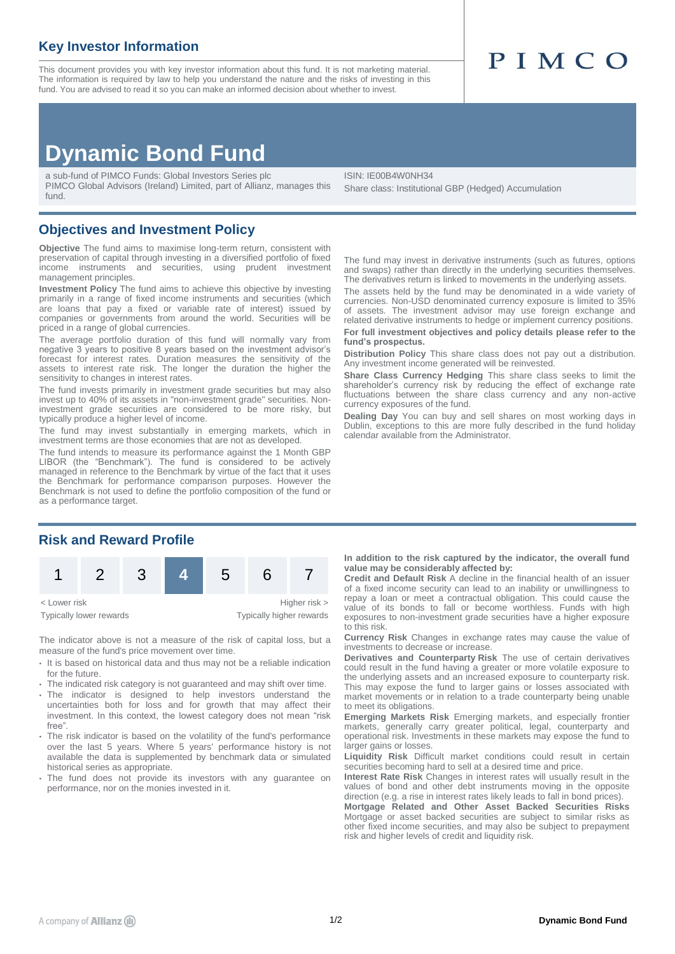### **Key Investor Information**

This document provides you with key investor information about this fund. It is not marketing material. The information is required by law to help you understand the nature and the risks of investing in this fund. You are advised to read it so you can make an informed decision about whether to invest.

# PIMCO

## **Dynamic Bond Fund**

a sub-fund of PIMCO Funds: Global Investors Series plc PIMCO Global Advisors (Ireland) Limited, part of Allianz, manages this fund.

ISIN: IE00B4W0NH34 Share class: Institutional GBP (Hedged) Accumulation

#### **Objectives and Investment Policy**

**Objective** The fund aims to maximise long-term return, consistent with preservation of capital through investing in a diversified portfolio of fixed income instruments and securities, using prudent investment management principles.

**Investment Policy** The fund aims to achieve this objective by investing primarily in a range of fixed income instruments and securities (which are loans that pay a fixed or variable rate of interest) issued by companies or governments from around the world. Securities will be priced in a range of global currencies.

The average portfolio duration of this fund will normally vary from negative 3 years to positive 8 years based on the investment advisor's forecast for interest rates. Duration measures the sensitivity of the assets to interest rate risk. The longer the duration the higher the sensitivity to changes in interest rates.

The fund invests primarily in investment grade securities but may also invest up to 40% of its assets in "non-investment grade" securities. Noninvestment grade securities are considered to be more risky, but typically produce a higher level of income.

The fund may invest substantially in emerging markets, which in investment terms are those economies that are not as developed.

The fund intends to measure its performance against the 1 Month GBP LIBOR (the "Benchmark"). The fund is considered to be actively managed in reference to the Benchmark by virtue of the fact that it uses the Benchmark for performance comparison purposes. However the Benchmark is not used to define the portfolio composition of the fund or as a performance target.

#### The fund may invest in derivative instruments (such as futures, options and swaps) rather than directly in the underlying securities themselves.

The derivatives return is linked to movements in the underlying assets. The assets held by the fund may be denominated in a wide variety of currencies. Non-USD denominated currency exposure is limited to 35% of assets. The investment advisor may use foreign exchange and

related derivative instruments to hedge or implement currency positions. **For full investment objectives and policy details please refer to the fund's prospectus.**

**Distribution Policy** This share class does not pay out a distribution. Any investment income generated will be reinvested.

**Share Class Currency Hedging** This share class seeks to limit the shareholder's currency risk by reducing the effect of exchange rate fluctuations between the share class currency and any non-active currency exposures of the fund.

**Dealing Day** You can buy and sell shares on most working days in Dublin, exceptions to this are more fully described in the fund holiday calendar available from the Administrator.

#### **Risk and Reward Profile**



The indicator above is not a measure of the risk of capital loss, but a measure of the fund's price movement over time.

- It is based on historical data and thus may not be a reliable indication for the future
- The indicated risk category is not guaranteed and may shift over time.
- The indicator is designed to help investors understand the uncertainties both for loss and for growth that may affect their investment. In this context, the lowest category does not mean "risk free".
- The risk indicator is based on the volatility of the fund's performance over the last 5 years. Where 5 years' performance history is not available the data is supplemented by benchmark data or simulated historical series as appropriate.
- The fund does not provide its investors with any guarantee on performance, nor on the monies invested in it.

**In addition to the risk captured by the indicator, the overall fund value may be considerably affected by:**

**Credit and Default Risk** A decline in the financial health of an issuer of a fixed income security can lead to an inability or unwillingness to repay a loan or meet a contractual obligation. This could cause the value of its bonds to fall or become worthless. Funds with high exposures to non-investment grade securities have a higher exposure to this risk.

**Currency Risk** Changes in exchange rates may cause the value of investments to decrease or increase.

**Derivatives and Counterparty Risk** The use of certain derivatives could result in the fund having a greater or more volatile exposure to the underlying assets and an increased exposure to counterparty risk. This may expose the fund to larger gains or losses associated with market movements or in relation to a trade counterparty being unable to meet its obligations.

**Emerging Markets Risk** Emerging markets, and especially frontier markets, generally carry greater political, legal, counterparty and operational risk. Investments in these markets may expose the fund to larger gains or losses.

**Liquidity Risk** Difficult market conditions could result in certain securities becoming hard to sell at a desired time and price.

**Interest Rate Risk** Changes in interest rates will usually result in the values of bond and other debt instruments moving in the opposite direction (e.g. a rise in interest rates likely leads to fall in bond prices).

**Mortgage Related and Other Asset Backed Securities Risks** Mortgage or asset backed securities are subject to similar risks as other fixed income securities, and may also be subject to prepayment risk and higher levels of credit and liquidity risk.